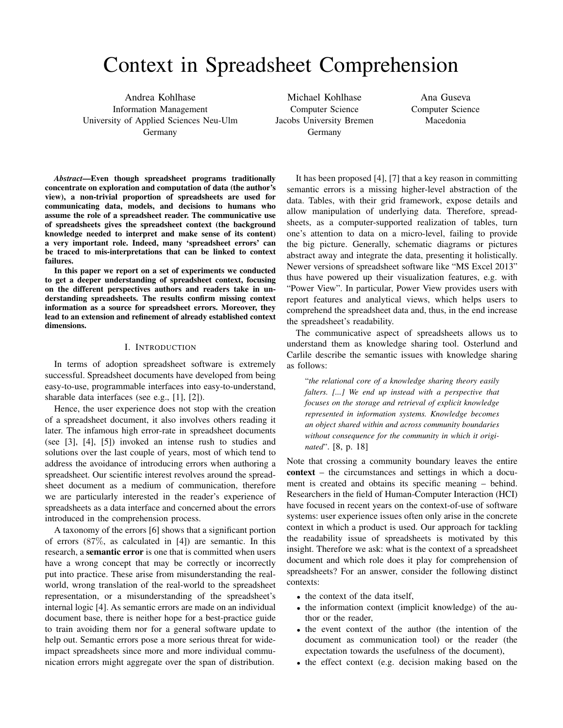# Context in Spreadsheet Comprehension

Andrea Kohlhase Information Management University of Applied Sciences Neu-Ulm Germany

Michael Kohlhase Computer Science Jacobs University Bremen Germany

Ana Guseva Computer Science Macedonia

*Abstract*—Even though spreadsheet programs traditionally concentrate on exploration and computation of data (the author's view), a non-trivial proportion of spreadsheets are used for communicating data, models, and decisions to humans who assume the role of a spreadsheet reader. The communicative use of spreadsheets gives the spreadsheet context (the background knowledge needed to interpret and make sense of its content) a very important role. Indeed, many 'spreadsheet errors' can be traced to mis-interpretations that can be linked to context failures.

In this paper we report on a set of experiments we conducted to get a deeper understanding of spreadsheet context, focusing on the different perspectives authors and readers take in understanding spreadsheets. The results confirm missing context information as a source for spreadsheet errors. Moreover, they lead to an extension and refinement of already established context dimensions.

# I. INTRODUCTION

In terms of adoption spreadsheet software is extremely successful. Spreadsheet documents have developed from being easy-to-use, programmable interfaces into easy-to-understand, sharable data interfaces (see e.g., [1], [2]).

Hence, the user experience does not stop with the creation of a spreadsheet document, it also involves others reading it later. The infamous high error-rate in spreadsheet documents (see [3], [4], [5]) invoked an intense rush to studies and solutions over the last couple of years, most of which tend to address the avoidance of introducing errors when authoring a spreadsheet. Our scientific interest revolves around the spreadsheet document as a medium of communication, therefore we are particularly interested in the reader's experience of spreadsheets as a data interface and concerned about the errors introduced in the comprehension process.

A taxonomy of the errors [6] shows that a significant portion of errors (87%, as calculated in [4]) are semantic. In this research, a **semantic error** is one that is committed when users have a wrong concept that may be correctly or incorrectly put into practice. These arise from misunderstanding the realworld, wrong translation of the real-world to the spreadsheet representation, or a misunderstanding of the spreadsheet's internal logic [4]. As semantic errors are made on an individual document base, there is neither hope for a best-practice guide to train avoiding them nor for a general software update to help out. Semantic errors pose a more serious threat for wideimpact spreadsheets since more and more individual communication errors might aggregate over the span of distribution.

It has been proposed [4], [7] that a key reason in committing semantic errors is a missing higher-level abstraction of the data. Tables, with their grid framework, expose details and allow manipulation of underlying data. Therefore, spreadsheets, as a computer-supported realization of tables, turn one's attention to data on a micro-level, failing to provide the big picture. Generally, schematic diagrams or pictures abstract away and integrate the data, presenting it holistically. Newer versions of spreadsheet software like "MS Excel 2013" thus have powered up their visualization features, e.g. with "Power View". In particular, Power View provides users with report features and analytical views, which helps users to comprehend the spreadsheet data and, thus, in the end increase the spreadsheet's readability.

The communicative aspect of spreadsheets allows us to understand them as knowledge sharing tool. Osterlund and Carlile describe the semantic issues with knowledge sharing as follows:

"*the relational core of a knowledge sharing theory easily falters. [...] We end up instead with a perspective that focuses on the storage and retrieval of explicit knowledge represented in information systems. Knowledge becomes an object shared within and across community boundaries without consequence for the community in which it originated*". [8, p. 18]

Note that crossing a community boundary leaves the entire context – the circumstances and settings in which a document is created and obtains its specific meaning – behind. Researchers in the field of Human-Computer Interaction (HCI) have focused in recent years on the context-of-use of software systems: user experience issues often only arise in the concrete context in which a product is used. Our approach for tackling the readability issue of spreadsheets is motivated by this insight. Therefore we ask: what is the context of a spreadsheet document and which role does it play for comprehension of spreadsheets? For an answer, consider the following distinct contexts:

- the context of the data itself,
- the information context (implicit knowledge) of the author or the reader,
- the event context of the author (the intention of the document as communication tool) or the reader (the expectation towards the usefulness of the document),
- the effect context (e.g. decision making based on the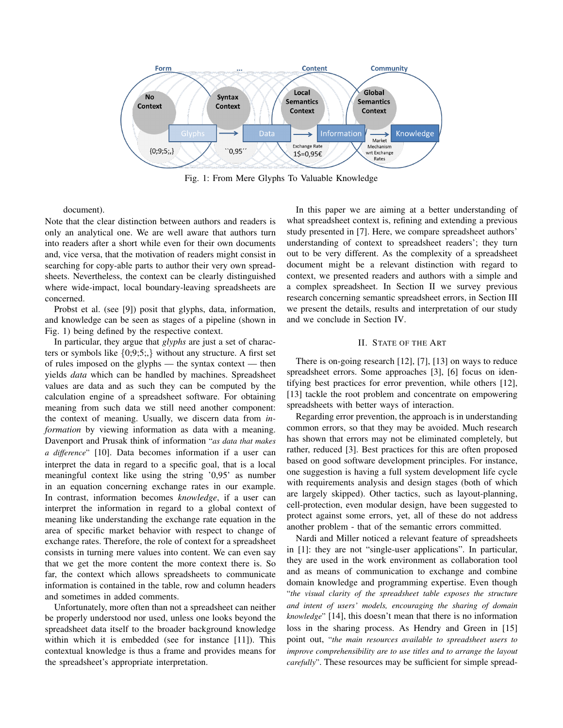

Fig. 1: From Mere Glyphs To Valuable Knowledge

document).

Note that the clear distinction between authors and readers is only an analytical one. We are well aware that authors turn into readers after a short while even for their own documents and, vice versa, that the motivation of readers might consist in searching for copy-able parts to author their very own spreadsheets. Nevertheless, the context can be clearly distinguished where wide-impact, local boundary-leaving spreadsheets are concerned.

Probst et al. (see [9]) posit that glyphs, data, information, and knowledge can be seen as stages of a pipeline (shown in Fig. 1) being defined by the respective context.

In particular, they argue that *glyphs* are just a set of characters or symbols like  $\{0,9,5\}$ , without any structure. A first set of rules imposed on the glyphs — the syntax context — then yields *data* which can be handled by machines. Spreadsheet values are data and as such they can be computed by the calculation engine of a spreadsheet software. For obtaining meaning from such data we still need another component: the context of meaning. Usually, we discern data from *information* by viewing information as data with a meaning. Davenport and Prusak think of information "*as data that makes a difference*" [10]. Data becomes information if a user can interpret the data in regard to a specific goal, that is a local meaningful context like using the string '0,95' as number in an equation concerning exchange rates in our example. In contrast, information becomes *knowledge*, if a user can interpret the information in regard to a global context of meaning like understanding the exchange rate equation in the area of specific market behavior with respect to change of exchange rates. Therefore, the role of context for a spreadsheet consists in turning mere values into content. We can even say that we get the more content the more context there is. So far, the context which allows spreadsheets to communicate information is contained in the table, row and column headers and sometimes in added comments.

Unfortunately, more often than not a spreadsheet can neither be properly understood nor used, unless one looks beyond the spreadsheet data itself to the broader background knowledge within which it is embedded (see for instance [11]). This contextual knowledge is thus a frame and provides means for the spreadsheet's appropriate interpretation.

In this paper we are aiming at a better understanding of what spreadsheet context is, refining and extending a previous study presented in [7]. Here, we compare spreadsheet authors' understanding of context to spreadsheet readers'; they turn out to be very different. As the complexity of a spreadsheet document might be a relevant distinction with regard to context, we presented readers and authors with a simple and a complex spreadsheet. In Section II we survey previous research concerning semantic spreadsheet errors, in Section III we present the details, results and interpretation of our study and we conclude in Section IV.

# II. STATE OF THE ART

There is on-going research [12], [7], [13] on ways to reduce spreadsheet errors. Some approaches [3], [6] focus on identifying best practices for error prevention, while others [12], [13] tackle the root problem and concentrate on empowering spreadsheets with better ways of interaction.

Regarding error prevention, the approach is in understanding common errors, so that they may be avoided. Much research has shown that errors may not be eliminated completely, but rather, reduced [3]. Best practices for this are often proposed based on good software development principles. For instance, one suggestion is having a full system development life cycle with requirements analysis and design stages (both of which are largely skipped). Other tactics, such as layout-planning, cell-protection, even modular design, have been suggested to protect against some errors, yet, all of these do not address another problem - that of the semantic errors committed.

Nardi and Miller noticed a relevant feature of spreadsheets in [1]: they are not "single-user applications". In particular, they are used in the work environment as collaboration tool and as means of communication to exchange and combine domain knowledge and programming expertise. Even though "*the visual clarity of the spreadsheet table exposes the structure and intent of users' models, encouraging the sharing of domain knowledge*" [14], this doesn't mean that there is no information loss in the sharing process. As Hendry and Green in [15] point out, "*the main resources available to spreadsheet users to improve comprehensibility are to use titles and to arrange the layout carefully*". These resources may be sufficient for simple spread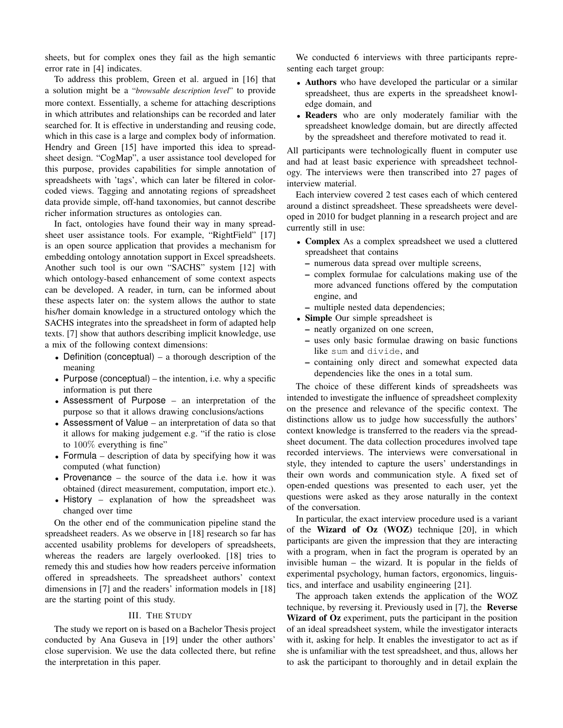sheets, but for complex ones they fail as the high semantic error rate in [4] indicates.

To address this problem, Green et al. argued in [16] that a solution might be a "*browsable description level*" to provide more context. Essentially, a scheme for attaching descriptions in which attributes and relationships can be recorded and later searched for. It is effective in understanding and reusing code, which in this case is a large and complex body of information. Hendry and Green [15] have imported this idea to spreadsheet design. "CogMap", a user assistance tool developed for this purpose, provides capabilities for simple annotation of spreadsheets with 'tags', which can later be filtered in colorcoded views. Tagging and annotating regions of spreadsheet data provide simple, off-hand taxonomies, but cannot describe richer information structures as ontologies can.

In fact, ontologies have found their way in many spreadsheet user assistance tools. For example, "RightField" [17] is an open source application that provides a mechanism for embedding ontology annotation support in Excel spreadsheets. Another such tool is our own "SACHS" system [12] with which ontology-based enhancement of some context aspects can be developed. A reader, in turn, can be informed about these aspects later on: the system allows the author to state his/her domain knowledge in a structured ontology which the SACHS integrates into the spreadsheet in form of adapted help texts. [7] show that authors describing implicit knowledge, use a mix of the following context dimensions:

- Definition (conceptual) a thorough description of the meaning
- Purpose (conceptual) the intention, i.e. why a specific information is put there
- Assessment of Purpose an interpretation of the purpose so that it allows drawing conclusions/actions
- Assessment of Value an interpretation of data so that it allows for making judgement e.g. "if the ratio is close to 100% everything is fine"
- Formula description of data by specifying how it was computed (what function)
- Provenance the source of the data i.e. how it was obtained (direct measurement, computation, import etc.).
- History explanation of how the spreadsheet was changed over time

On the other end of the communication pipeline stand the spreadsheet readers. As we observe in [18] research so far has accented usability problems for developers of spreadsheets, whereas the readers are largely overlooked. [18] tries to remedy this and studies how how readers perceive information offered in spreadsheets. The spreadsheet authors' context dimensions in [7] and the readers' information models in [18] are the starting point of this study.

## III. THE STUDY

The study we report on is based on a Bachelor Thesis project conducted by Ana Guseva in [19] under the other authors' close supervision. We use the data collected there, but refine the interpretation in this paper.

We conducted 6 interviews with three participants representing each target group:

- Authors who have developed the particular or a similar spreadsheet, thus are experts in the spreadsheet knowledge domain, and
- Readers who are only moderately familiar with the spreadsheet knowledge domain, but are directly affected by the spreadsheet and therefore motivated to read it.

All participants were technologically fluent in computer use and had at least basic experience with spreadsheet technology. The interviews were then transcribed into 27 pages of interview material.

Each interview covered 2 test cases each of which centered around a distinct spreadsheet. These spreadsheets were developed in 2010 for budget planning in a research project and are currently still in use:

- Complex As a complex spreadsheet we used a cluttered spreadsheet that contains
	- numerous data spread over multiple screens,
	- complex formulae for calculations making use of the more advanced functions offered by the computation engine, and
	- multiple nested data dependencies;
- Simple Our simple spreadsheet is
	- neatly organized on one screen,
	- uses only basic formulae drawing on basic functions like sum and divide, and
	- containing only direct and somewhat expected data dependencies like the ones in a total sum.

The choice of these different kinds of spreadsheets was intended to investigate the influence of spreadsheet complexity on the presence and relevance of the specific context. The distinctions allow us to judge how successfully the authors' context knowledge is transferred to the readers via the spreadsheet document. The data collection procedures involved tape recorded interviews. The interviews were conversational in style, they intended to capture the users' understandings in their own words and communication style. A fixed set of open-ended questions was presented to each user, yet the questions were asked as they arose naturally in the context of the conversation.

In particular, the exact interview procedure used is a variant of the Wizard of Oz (WOZ) technique [20], in which participants are given the impression that they are interacting with a program, when in fact the program is operated by an invisible human – the wizard. It is popular in the fields of experimental psychology, human factors, ergonomics, linguistics, and interface and usability engineering [21].

The approach taken extends the application of the WOZ technique, by reversing it. Previously used in [7], the Reverse Wizard of Oz experiment, puts the participant in the position of an ideal spreadsheet system, while the investigator interacts with it, asking for help. It enables the investigator to act as if she is unfamiliar with the test spreadsheet, and thus, allows her to ask the participant to thoroughly and in detail explain the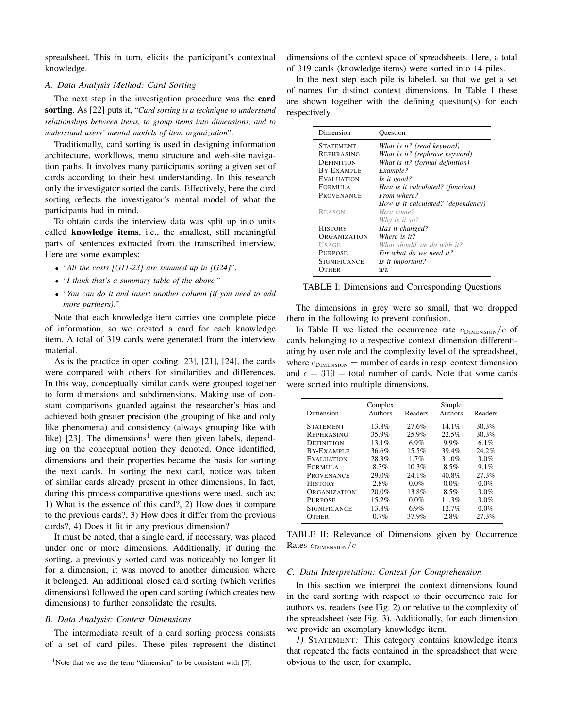spreadsheet. This in turn, elicits the participant's contextual knowledge.

# *A. Data Analysis Method: Card Sorting*

The next step in the investigation procedure was the card sorting. As [22] puts it, "*Card sorting is a technique to understand relationships between items, to group items into dimensions, and to understand users' mental models of item organization*".

Traditionally, card sorting is used in designing information architecture, workflows, menu structure and web-site navigation paths. It involves many participants sorting a given set of cards according to their best understanding. In this research only the investigator sorted the cards. Effectively, here the card sorting reflects the investigator's mental model of what the participants had in mind.

To obtain cards the interview data was split up into units called knowledge items, i.e., the smallest, still meaningful parts of sentences extracted from the transcribed interview. Here are some examples:

- "*All the costs [G11-23] are summed up in [G24]*".
- "*I think that's a summary table of the above.*"
- "*You can do it and insert another column (if you need to add more partners).*"

Note that each knowledge item carries one complete piece of information, so we created a card for each knowledge item. A total of 319 cards were generated from the interview material.

As is the practice in open coding [23], [21], [24], the cards were compared with others for similarities and differences. In this way, conceptually similar cards were grouped together to form dimensions and subdimensions. Making use of constant comparisons guarded against the researcher's bias and achieved both greater precision (the grouping of like and only like phenomena) and consistency (always grouping like with like) [23]. The dimensions<sup>1</sup> were then given labels, depending on the conceptual notion they denoted. Once identified, dimensions and their properties became the basis for sorting the next cards. In sorting the next card, notice was taken of similar cards already present in other dimensions. In fact, during this process comparative questions were used, such as: 1) What is the essence of this card?, 2) How does it compare to the previous cards?, 3) How does it differ from the previous cards?, 4) Does it fit in any previous dimension?

It must be noted, that a single card, if necessary, was placed under one or more dimensions. Additionally, if during the sorting, a previously sorted card was noticeably no longer fit for a dimension, it was moved to another dimension where it belonged. An additional closed card sorting (which verifies dimensions) followed the open card sorting (which creates new dimensions) to further consolidate the results.

## *B. Data Analysis: Context Dimensions*

The intermediate result of a card sorting process consists of a set of card piles. These piles represent the distinct dimensions of the context space of spreadsheets. Here, a total of 319 cards (knowledge items) were sorted into 14 piles.

In the next step each pile is labeled, so that we get a set of names for distinct context dimensions. In Table I these are shown together with the defining question(s) for each respectively.

| Dimension           | Ouestion                           |
|---------------------|------------------------------------|
| <b>STATEMENT</b>    | What is it? (read keyword)         |
| <b>REPHRASING</b>   | What is it? (rephrase keyword)     |
| DEFINITION          | What is it? (formal definition)    |
| <b>BY-EXAMPLE</b>   | Example?                           |
| <b>EVALUATION</b>   | Is it good?                        |
| FORMULA             | How is it calculated? (function)   |
| <b>PROVENANCE</b>   | From where?                        |
|                     | How is it calculated? (dependency) |
| REASON              | How come?                          |
|                     | Why is it so?                      |
| <b>HISTORY</b>      | Has it changed?                    |
| <b>ORGANIZATION</b> | Where is it?                       |
| USAGE               | What should we do with it?         |
| PURPOSE             | For what do we need it?            |
| SIGNIFICANCE        | Is it important?                   |
| OTHER)              | n/a                                |

TABLE I: Dimensions and Corresponding Questions

The dimensions in grey were so small, that we dropped them in the following to prevent confusion.

In Table II we listed the occurrence rate  $c_{\text{DIMENSION}}/c$  of cards belonging to a respective context dimension differentiating by user role and the complexity level of the spreadsheet, where  $c_{\text{DIMENSION}} =$  number of cards in resp. context dimension and  $c = 319 =$  total number of cards. Note that some cards were sorted into multiple dimensions.

|                     | Complex |          | Simple  |         |
|---------------------|---------|----------|---------|---------|
| Dimension           | Authors | Readers  | Authors | Readers |
| <b>STATEMENT</b>    | 13.8%   | 27.6%    | 14.1%   | 30.3%   |
| <b>REPHRASING</b>   | 35.9%   | 25.9%    | 22.5%   | 30.3%   |
| <b>DEFINITION</b>   | 13.1%   | 6.9%     | 9.9%    | 6.1%    |
| <b>BY-EXAMPLE</b>   | 36.6%   | $15.5\%$ | 39.4%   | 24.2%   |
| <b>EVALUATION</b>   | 28.3%   | 1.7%     | 31.0%   | 3.0%    |
| <b>FORMULA</b>      | 8.3%    | 10.3%    | 8.5%    | 9.1%    |
| <b>PROVENANCE</b>   | 29.0%   | 24.1%    | 40.8%   | 27.3%   |
| <b>HISTORY</b>      | 2.8%    | $0.0\%$  | 0.0%    | 0.0%    |
| <b>ORGANIZATION</b> | 20.0%   | 13.8%    | 8.5%    | 3.0%    |
| <b>PURPOSE</b>      | 15.2%   | $0.0\%$  | 11.3%   | 3.0%    |
| <b>SIGNIFICANCE</b> | 13.8%   | 6.9%     | 12.7%   | 0.0%    |
| <b>OTHER</b>        | 0.7%    | 37.9%    | 2.8%    | 27.3%   |

TABLE II: Relevance of Dimensions given by Occurrence Rates  $c_{\text{Dimension}}/c$ 

#### *C. Data Interpretation: Context for Comprehension*

In this section we interpret the context dimensions found in the card sorting with respect to their occurrence rate for authors vs. readers (see Fig. 2) or relative to the complexity of the spreadsheet (see Fig. 3). Additionally, for each dimension we provide an exemplary knowledge item.

*1)* STATEMENT*:* This category contains knowledge items that repeated the facts contained in the spreadsheet that were obvious to the user, for example,

<sup>&</sup>lt;sup>1</sup>Note that we use the term "dimension" to be consistent with  $[7]$ .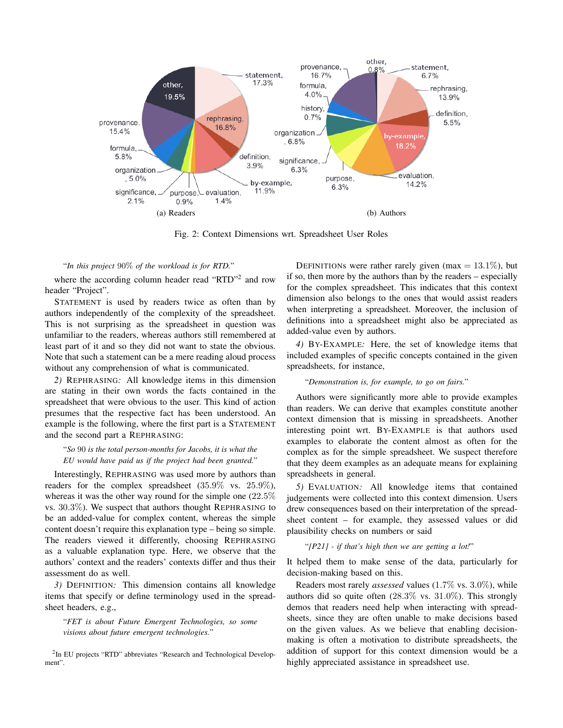

Fig. 2: Context Dimensions wrt. Spreadsheet User Roles

## "*In this project* 90% *of the workload is for RTD.*"

where the according column header read "RTD"<sup>2</sup> and row header "Project".

STATEMENT is used by readers twice as often than by authors independently of the complexity of the spreadsheet. This is not surprising as the spreadsheet in question was unfamiliar to the readers, whereas authors still remembered at least part of it and so they did not want to state the obvious. Note that such a statement can be a mere reading aloud process without any comprehension of what is communicated.

*2)* REPHRASING*:* All knowledge items in this dimension are stating in their own words the facts contained in the spreadsheet that were obvious to the user. This kind of action presumes that the respective fact has been understood. An example is the following, where the first part is a STATEMENT and the second part a REPHRASING:

# "*So* 90 *is the total person-months for Jacobs, it is what the EU would have paid us if the project had been granted.*"

Interestingly, REPHRASING was used more by authors than readers for the complex spreadsheet  $(35.9\% \text{ vs. } 25.9\%),$ whereas it was the other way round for the simple one (22.5% vs. 30.3%). We suspect that authors thought REPHRASING to be an added-value for complex content, whereas the simple content doesn't require this explanation type – being so simple. The readers viewed it differently, choosing REPHRASING as a valuable explanation type. Here, we observe that the authors' context and the readers' contexts differ and thus their assessment do as well.

*3)* DEFINITION*:* This dimension contains all knowledge items that specify or define terminology used in the spreadsheet headers, e.g.,

"*FET is about Future Emergent Technologies, so some visions about future emergent technologies.*"

<sup>2</sup>In EU projects "RTD" abbreviates "Research and Technological Development".

DEFINITIONs were rather rarely given (max =  $13.1\%$ ), but if so, then more by the authors than by the readers – especially for the complex spreadsheet. This indicates that this context dimension also belongs to the ones that would assist readers when interpreting a spreadsheet. Moreover, the inclusion of definitions into a spreadsheet might also be appreciated as added-value even by authors.

*4)* BY-EXAMPLE*:* Here, the set of knowledge items that included examples of specific concepts contained in the given spreadsheets, for instance,

#### "*Demonstration is, for example, to go on fairs.*"

Authors were significantly more able to provide examples than readers. We can derive that examples constitute another context dimension that is missing in spreadsheets. Another interesting point wrt. BY-EXAMPLE is that authors used examples to elaborate the content almost as often for the complex as for the simple spreadsheet. We suspect therefore that they deem examples as an adequate means for explaining spreadsheets in general.

*5)* EVALUATION*:* All knowledge items that contained judgements were collected into this context dimension. Users drew consequences based on their interpretation of the spreadsheet content – for example, they assessed values or did plausibility checks on numbers or said

## "*[P21] - if that's high then we are getting a lot!*"

It helped them to make sense of the data, particularly for decision-making based on this.

Readers most rarely *assessed* values (1.7% vs. 3.0%), while authors did so quite often (28.3% vs. 31.0%). This strongly demos that readers need help when interacting with spreadsheets, since they are often unable to make decisions based on the given values. As we believe that enabling decisionmaking is often a motivation to distribute spreadsheets, the addition of support for this context dimension would be a highly appreciated assistance in spreadsheet use.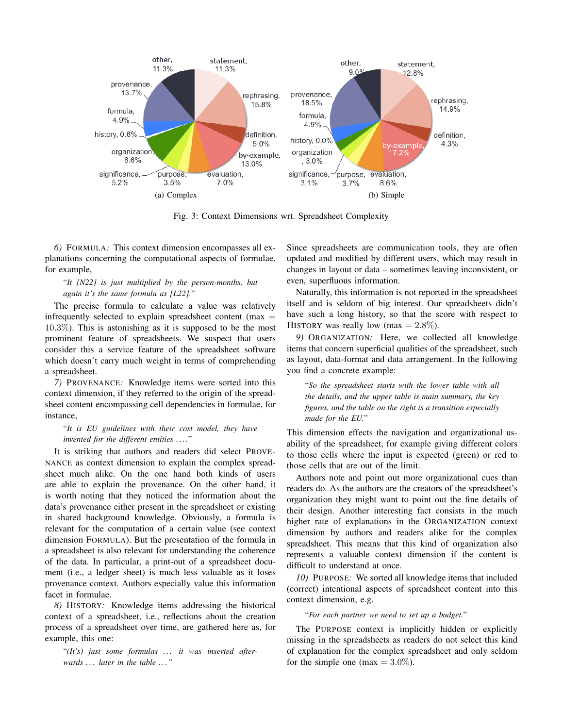

Fig. 3: Context Dimensions wrt. Spreadsheet Complexity

*6)* FORMULA*:* This context dimension encompasses all explanations concerning the computational aspects of formulae, for example,

# "*It [N22] is just multiplied by the person-months, but again it's the same formula as [L22].*"

The precise formula to calculate a value was relatively infrequently selected to explain spreadsheet content ( $max =$ 10.3%). This is astonishing as it is supposed to be the most prominent feature of spreadsheets. We suspect that users consider this a service feature of the spreadsheet software which doesn't carry much weight in terms of comprehending a spreadsheet.

*7)* PROVENANCE*:* Knowledge items were sorted into this context dimension, if they referred to the origin of the spreadsheet content encompassing cell dependencies in formulae, for instance,

# "*It is EU guidelines with their cost model, they have invented for the different entities . . . .*"

It is striking that authors and readers did select PROVE-NANCE as context dimension to explain the complex spreadsheet much alike. On the one hand both kinds of users are able to explain the provenance. On the other hand, it is worth noting that they noticed the information about the data's provenance either present in the spreadsheet or existing in shared background knowledge. Obviously, a formula is relevant for the computation of a certain value (see context dimension FORMULA). But the presentation of the formula in a spreadsheet is also relevant for understanding the coherence of the data. In particular, a print-out of a spreadsheet document (i.e., a ledger sheet) is much less valuable as it loses provenance context. Authors especially value this information facet in formulae.

*8)* HISTORY*:* Knowledge items addressing the historical context of a spreadsheet, i.e., reflections about the creation process of a spreadsheet over time, are gathered here as, for example, this one:

"(It's) just some formulas ... it was inserted after*wards . . . later in the table . . .* "

Since spreadsheets are communication tools, they are often updated and modified by different users, which may result in changes in layout or data – sometimes leaving inconsistent, or even, superfluous information.

Naturally, this information is not reported in the spreadsheet itself and is seldom of big interest. Our spreadsheets didn't have such a long history, so that the score with respect to HISTORY was really low (max  $= 2.8\%$ ).

*9)* ORGANIZATION*:* Here, we collected all knowledge items that concern superficial qualities of the spreadsheet, such as layout, data-format and data arrangement. In the following you find a concrete example:

"*So the spreadsheet starts with the lower table with all the details, and the upper table is main summary, the key figures, and the table on the right is a transition especially made for the EU.*"

This dimension effects the navigation and organizational usability of the spreadsheet, for example giving different colors to those cells where the input is expected (green) or red to those cells that are out of the limit.

Authors note and point out more organizational cues than readers do. As the authors are the creators of the spreadsheet's organization they might want to point out the fine details of their design. Another interesting fact consists in the much higher rate of explanations in the ORGANIZATION context dimension by authors and readers alike for the complex spreadsheet. This means that this kind of organization also represents a valuable context dimension if the content is difficult to understand at once.

*10)* PURPOSE*:* We sorted all knowledge items that included (correct) intentional aspects of spreadsheet content into this context dimension, e.g.

### "*For each partner we need to set up a budget.*"

The PURPOSE context is implicitly hidden or explicitly missing in the spreadsheets as readers do not select this kind of explanation for the complex spreadsheet and only seldom for the simple one (max  $= 3.0\%$ ).